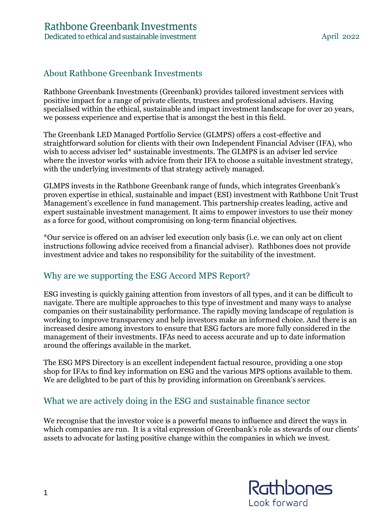## About Rathbone Greenbank Investments

Rathbone Greenbank Investments (Greenbank) provides tailored investment services with positive impact for a range of private clients, trustees and professional advisers. Having specialised within the ethical, sustainable and impact investment landscape for over 20 years, we possess experience and expertise that is amongst the best in this field.

The Greenbank LED Managed Portfolio Service (GLMPS) offers a cost-effective and straightforward solution for clients with their own Independent Financial Adviser (IFA), who wish to access adviser led\* sustainable investments. The GLMPS is an adviser led service where the investor works with advice from their IFA to choose a suitable investment strategy, with the underlying investments of that strategy actively managed.

GLMPS invests in the Rathbone Greenbank range of funds, which integrates Greenbank's proven expertise in ethical, sustainable and impact (ESI) investment with Rathbone Unit Trust Management's excellence in fund management. This partnership creates leading, active and expert sustainable investment management. It aims to empower investors to use their money as a force for good, without compromising on long-term financial objectives.

\*Our service is offered on an adviser led execution only basis (i.e. we can only act on client instructions following advice received from a financial adviser). Rathbones does not provide investment advice and takes no responsibility for the suitability of the investment.

## Why are we supporting the ESG Accord MPS Report?

ESG investing is quickly gaining attention from investors of all types, and it can be difficult to navigate. There are multiple approaches to this type of investment and many ways to analyse companies on their sustainability performance. The rapidly moving landscape of regulation is working to improve transparency and help investors make an informed choice. And there is an increased desire among investors to ensure that ESG factors are more fully considered in the management of their investments. IFAs need to access accurate and up to date information around the offerings available in the market.

The ESG MPS Directory is an excellent independent factual resource, providing a one stop shop for IFAs to find key information on ESG and the various MPS options available to them. We are delighted to be part of this by providing information on Greenbank's services.

## What we are actively doing in the ESG and sustainable finance sector

We recognise that the investor voice is a powerful means to influence and direct the ways in which companies are run. It is a vital expression of Greenbank's role as stewards of our clients' assets to advocate for lasting positive change within the companies in which we invest.